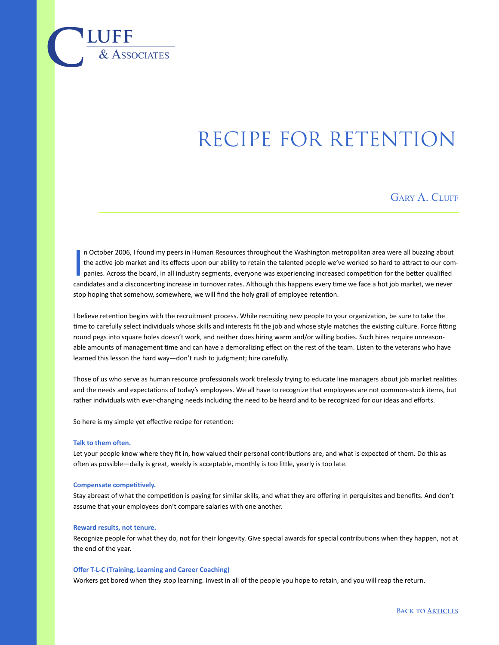# RECIPE FOR RETENTION

GARY A. CLUFF

I n October 2006, I found my peers in Human Resources throughout the Washington metropolitan area were all buzzing about the active job market and its effects upon our ability to retain the talented people we've worked so hard to attract to our companies. Across the board, in all industry segments, everyone was experiencing increased competition for the better qualified candidates and a disconcerting increase in turnover rates. Although this happens every time we face a hot job market, we never stop hoping that somehow, somewhere, we will find the holy grail of employee retention.

I believe retention begins with the recruitment process. While recruiting new people to your organization, be sure to take the time to carefully select individuals whose skills and interests fit the job and whose style matches the existing culture. Force fitting round pegs into square holes doesn't work, and neither does hiring warm and/or willing bodies. Such hires require unreasonable amounts of management time and can have a demoralizing effect on the rest of the team. Listen to the veterans who have learned this lesson the hard way—don't rush to judgment; hire carefully.

Those of us who serve as human resource professionals work tirelessly trying to educate line managers about job market realities and the needs and expectations of today's employees. We all have to recognize that employees are not common-stock items, but rather individuals with ever-changing needs including the need to be heard and to be recognized for our ideas and efforts.

So here is my simple yet effective recipe for retention:

#### **Talk to them often.**

 $\overline{\text{LUFF}}$  **luff** 

Let your people know where they fit in, how valued their personal contributions are, and what is expected of them. Do this as often as possible—daily is great, weekly is acceptable, monthly is too little, yearly is too late.

#### **Compensate competitively.**

Stay abreast of what the competition is paying for similar skills, and what they are offering in perquisites and benefits. And don't assume that your employees don't compare salaries with one another.

#### **Reward results, not tenure.**

Recognize people for what they do, not for their longevity. Give special awards for special contributions when they happen, not at the end of the year.

## **Offer T-L-C (Training, Learning and Career Coaching)**

Workers get bored when they stop learning. Invest in all of the people you hope to retain, and you will reap the return.